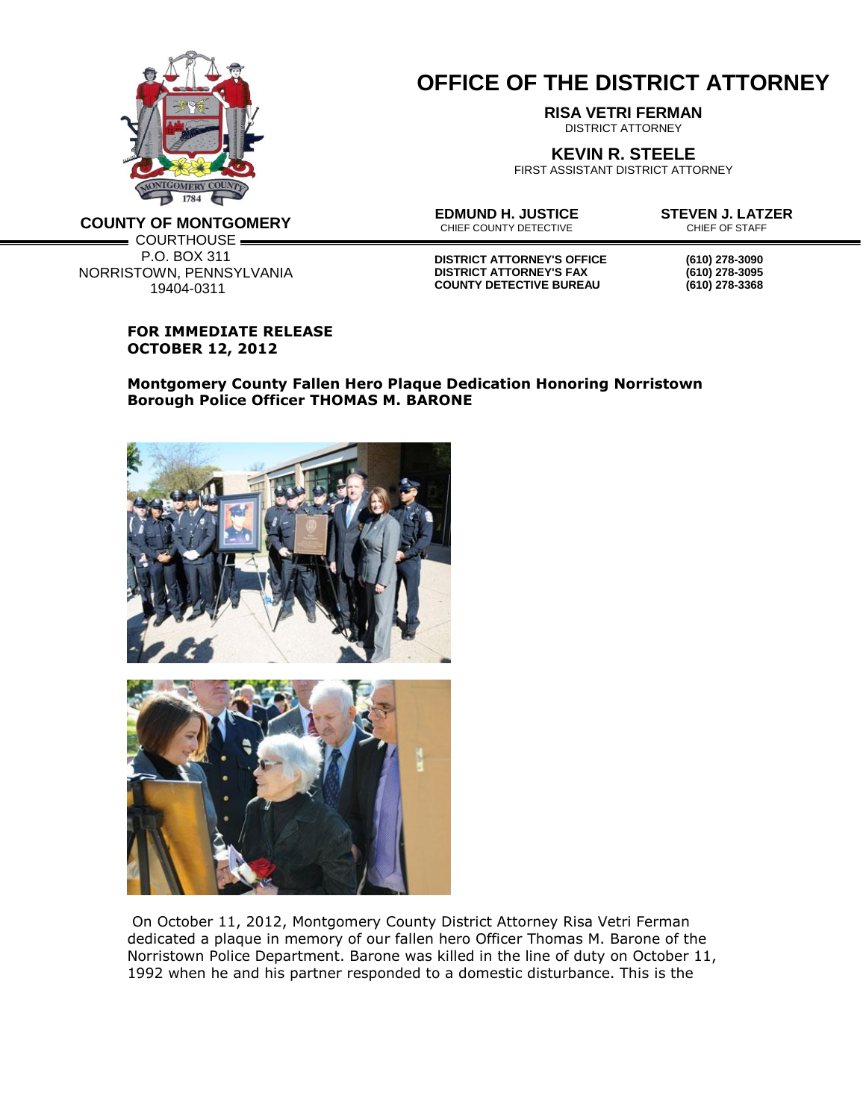

**COUNTY OF MONTGOMERY**

## **OFFICE OF THE DISTRICT ATTORNEY**

**RISA VETRI FERMAN**

DISTRICT ATTORNEY

**KEVIN R. STEELE**

FIRST ASSISTANT DISTRICT ATTORNEY

**EDMUND H. JUSTICE**<br>
CHIEF COUNTY DETECTIVE<br>
CHIEF OF STAFF CHIEF COUNTY DETECTIVE

 $\blacksquare$  COURTHOUSE  $\blacksquare$ P.O. BOX 311 NORRISTOWN, PENNSYLVANIA 19404-0311

**DISTRICT ATTORNEY'S OFFICE (610) 278-3090 DISTRICT ATTORNEY'S FAX (610) 278-3095 COUNTY DETECTIVE BUREAU (610) 278-3368**

## **FOR IMMEDIATE RELEASE OCTOBER 12, 2012**

**Montgomery County Fallen Hero Plaque Dedication Honoring Norristown Borough Police Officer THOMAS M. BARONE**



On October 11, 2012, Montgomery County District Attorney Risa Vetri Ferman dedicated a plaque in memory of our fallen hero Officer Thomas M. Barone of the Norristown Police Department. Barone was killed in the line of duty on October 11, 1992 when he and his partner responded to a domestic disturbance. This is the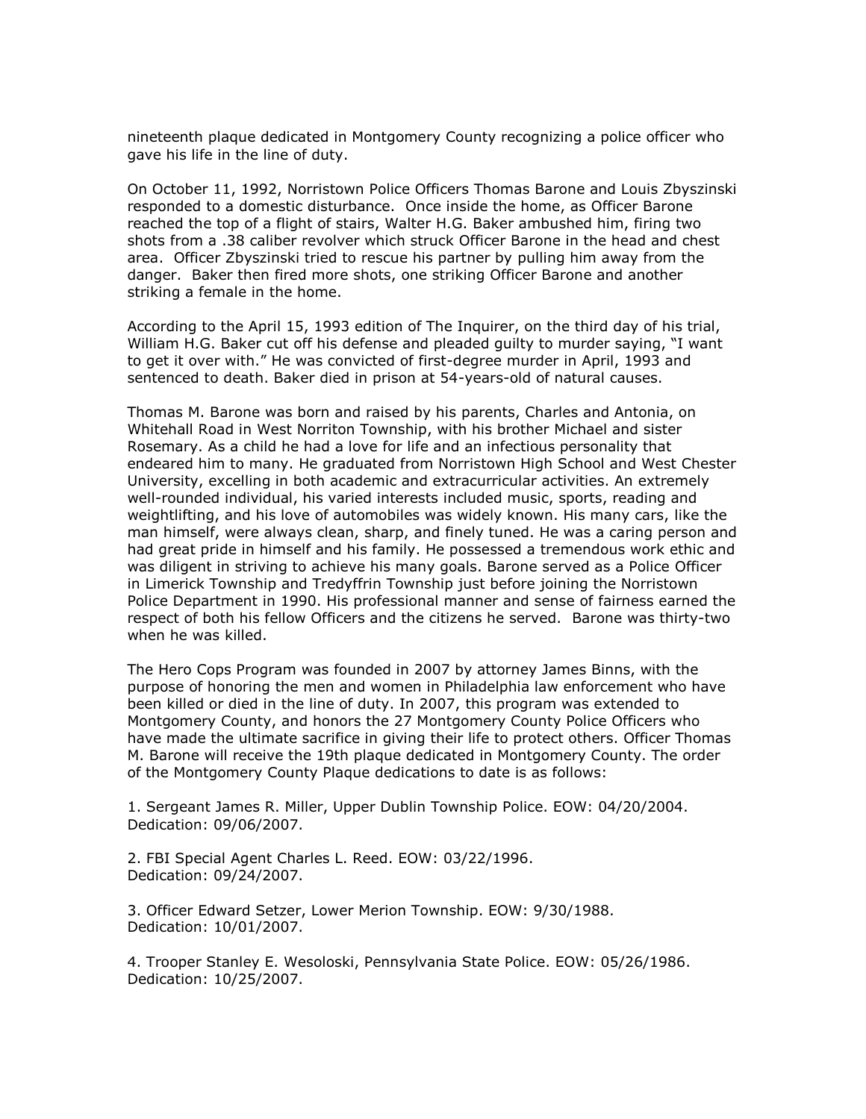nineteenth plaque dedicated in Montgomery County recognizing a police officer who gave his life in the line of duty.

On October 11, 1992, Norristown Police Officers Thomas Barone and Louis Zbyszinski responded to a domestic disturbance. Once inside the home, as Officer Barone reached the top of a flight of stairs, Walter H.G. Baker ambushed him, firing two shots from a .38 caliber revolver which struck Officer Barone in the head and chest area. Officer Zbyszinski tried to rescue his partner by pulling him away from the danger. Baker then fired more shots, one striking Officer Barone and another striking a female in the home.

According to the April 15, 1993 edition of The Inquirer, on the third day of his trial, William H.G. Baker cut off his defense and pleaded guilty to murder saying, "I want to get it over with." He was convicted of first-degree murder in April, 1993 and sentenced to death. Baker died in prison at 54-years-old of natural causes.

Thomas M. Barone was born and raised by his parents, Charles and Antonia, on Whitehall Road in West Norriton Township, with his brother Michael and sister Rosemary. As a child he had a love for life and an infectious personality that endeared him to many. He graduated from Norristown High School and West Chester University, excelling in both academic and extracurricular activities. An extremely well-rounded individual, his varied interests included music, sports, reading and weightlifting, and his love of automobiles was widely known. His many cars, like the man himself, were always clean, sharp, and finely tuned. He was a caring person and had great pride in himself and his family. He possessed a tremendous work ethic and was diligent in striving to achieve his many goals. Barone served as a Police Officer in Limerick Township and Tredyffrin Township just before joining the Norristown Police Department in 1990. His professional manner and sense of fairness earned the respect of both his fellow Officers and the citizens he served. Barone was thirty-two when he was killed.

The Hero Cops Program was founded in 2007 by attorney James Binns, with the purpose of honoring the men and women in Philadelphia law enforcement who have been killed or died in the line of duty. In 2007, this program was extended to Montgomery County, and honors the 27 Montgomery County Police Officers who have made the ultimate sacrifice in giving their life to protect others. Officer Thomas M. Barone will receive the 19th plaque dedicated in Montgomery County. The order of the Montgomery County Plaque dedications to date is as follows:

1. Sergeant James R. Miller, Upper Dublin Township Police. EOW: 04/20/2004. Dedication: 09/06/2007.

2. FBI Special Agent Charles L. Reed. EOW: 03/22/1996. Dedication: 09/24/2007.

3. Officer Edward Setzer, Lower Merion Township. EOW: 9/30/1988. Dedication: 10/01/2007.

4. Trooper Stanley E. Wesoloski, Pennsylvania State Police. EOW: 05/26/1986. Dedication: 10/25/2007.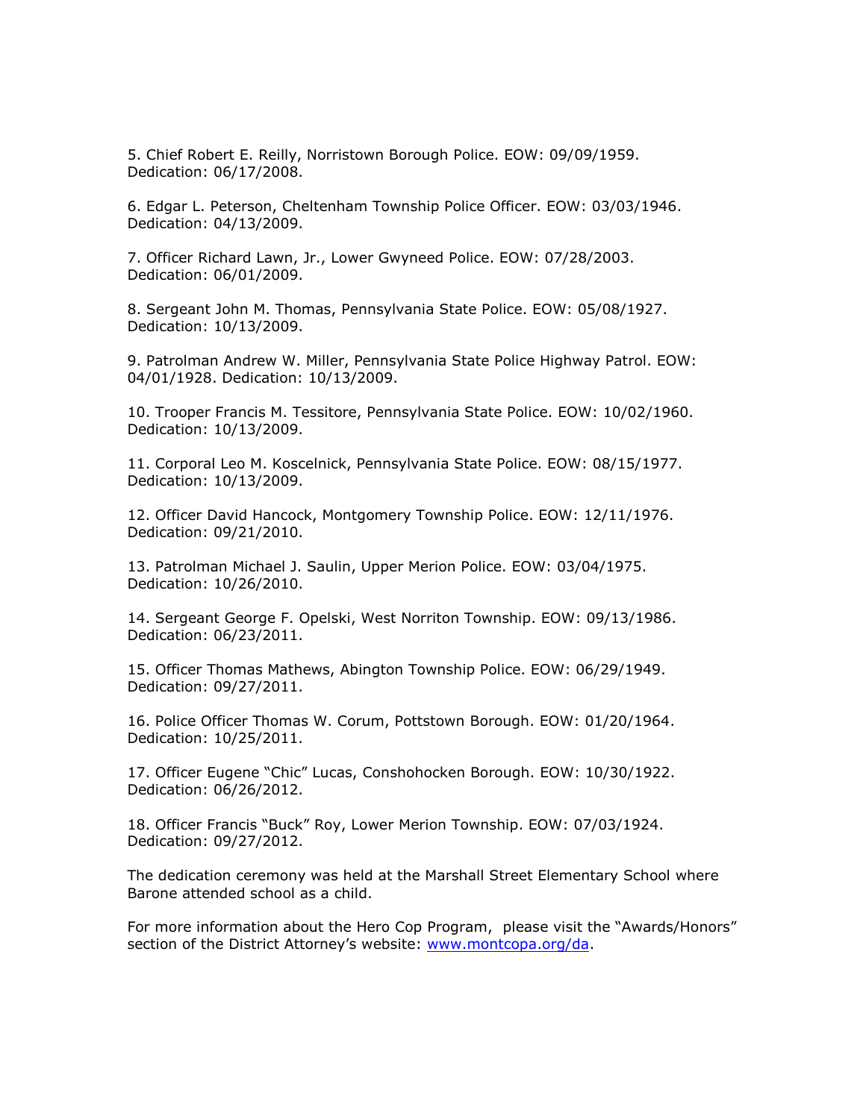5. Chief Robert E. Reilly, Norristown Borough Police. EOW: 09/09/1959. Dedication: 06/17/2008.

6. Edgar L. Peterson, Cheltenham Township Police Officer. EOW: 03/03/1946. Dedication: 04/13/2009.

7. Officer Richard Lawn, Jr., Lower Gwyneed Police. EOW: 07/28/2003. Dedication: 06/01/2009.

8. Sergeant John M. Thomas, Pennsylvania State Police. EOW: 05/08/1927. Dedication: 10/13/2009.

9. Patrolman Andrew W. Miller, Pennsylvania State Police Highway Patrol. EOW: 04/01/1928. Dedication: 10/13/2009.

10. Trooper Francis M. Tessitore, Pennsylvania State Police. EOW: 10/02/1960. Dedication: 10/13/2009.

11. Corporal Leo M. Koscelnick, Pennsylvania State Police. EOW: 08/15/1977. Dedication: 10/13/2009.

12. Officer David Hancock, Montgomery Township Police. EOW: 12/11/1976. Dedication: 09/21/2010.

13. Patrolman Michael J. Saulin, Upper Merion Police. EOW: 03/04/1975. Dedication: 10/26/2010.

14. Sergeant George F. Opelski, West Norriton Township. EOW: 09/13/1986. Dedication: 06/23/2011.

15. Officer Thomas Mathews, Abington Township Police. EOW: 06/29/1949. Dedication: 09/27/2011.

16. Police Officer Thomas W. Corum, Pottstown Borough. EOW: 01/20/1964. Dedication: 10/25/2011.

17. Officer Eugene "Chic" Lucas, Conshohocken Borough. EOW: 10/30/1922. Dedication: 06/26/2012.

18. Officer Francis "Buck" Roy, Lower Merion Township. EOW: 07/03/1924. Dedication: 09/27/2012.

The dedication ceremony was held at the Marshall Street Elementary School where Barone attended school as a child.

For more information about the Hero Cop Program, please visit the "Awards/Honors" section of the District Attorney's website: [www.montcopa.org/da.](http://www.montcopa.org/da)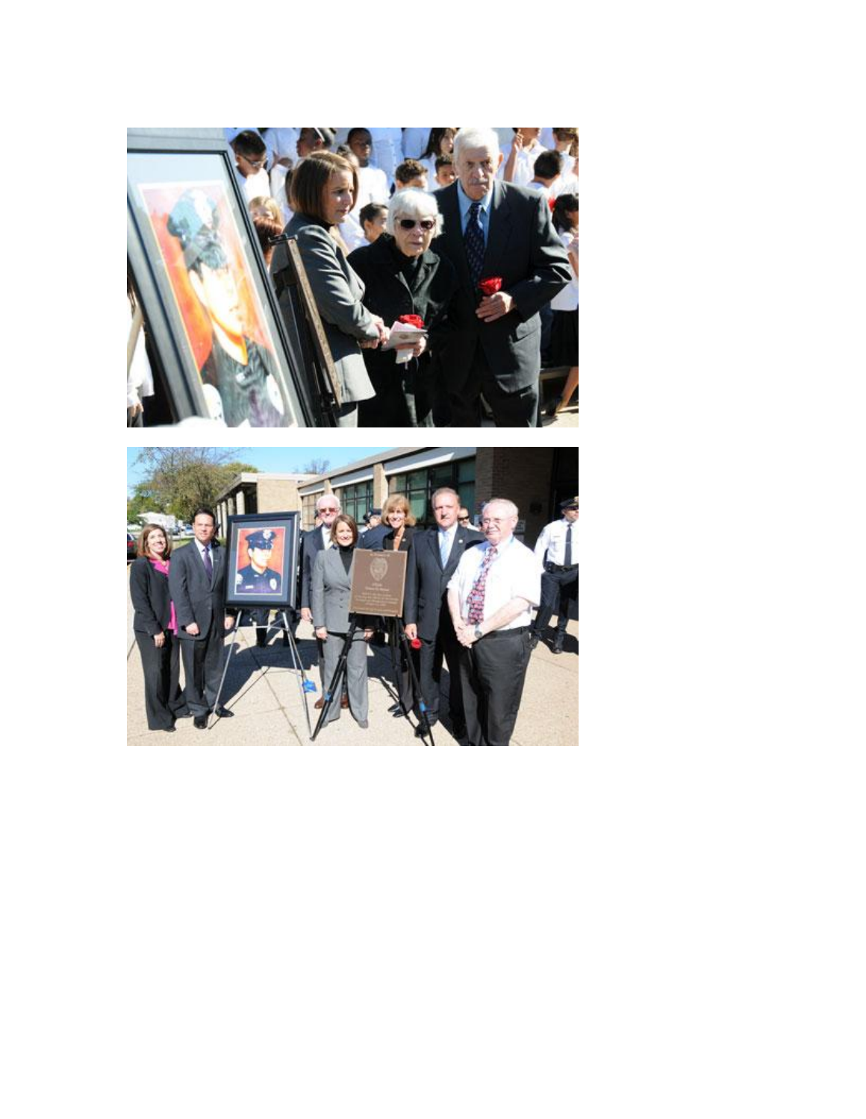

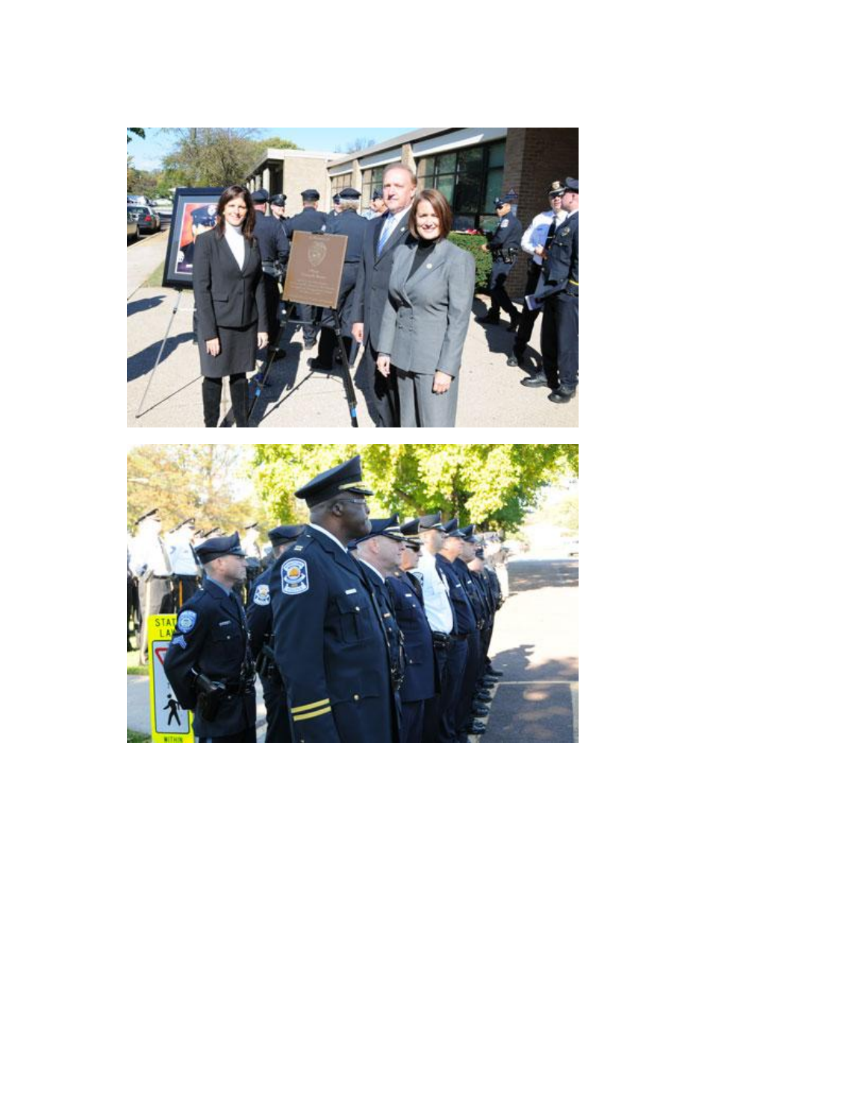